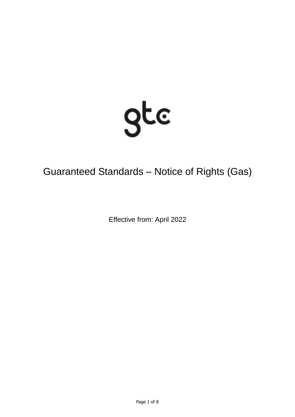

# Guaranteed Standards – Notice of Rights (Gas)

Effective from: April 2022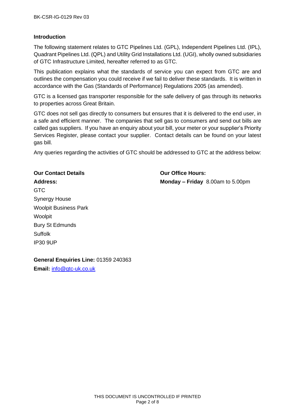#### **Introduction**

The following statement relates to GTC Pipelines Ltd. (GPL), Independent Pipelines Ltd. (IPL), Quadrant Pipelines Ltd. (QPL) and Utility Grid Installations Ltd. (UGI), wholly owned subsidiaries of GTC Infrastructure Limited, hereafter referred to as GTC.

This publication explains what the standards of service you can expect from GTC are and outlines the compensation you could receive if we fail to deliver these standards. It is written in accordance with the Gas (Standards of Performance) Regulations 2005 (as amended).

GTC is a licensed gas transporter responsible for the safe delivery of gas through its networks to properties across Great Britain.

GTC does not sell gas directly to consumers but ensures that it is delivered to the end user, in a safe and efficient manner. The companies that sell gas to consumers and send out bills are called gas suppliers. If you have an enquiry about your bill, your meter or your supplier's Priority Services Register, please contact your supplier. Contact details can be found on your latest gas bill.

Any queries regarding the activities of GTC should be addressed to GTC at the address below:

## **Our Contact Details Our Office Hours:**

**Address: Monday – Friday** 8.00am to 5.00pm

GTC Synergy House Woolpit Business Park **Woolpit** Bury St Edmunds Suffolk IP30 9UP

**General Enquiries Line:** 01359 240363

**Email:** [info@gtc-uk.co.uk](mailto:info@gtc-uk.co.uk)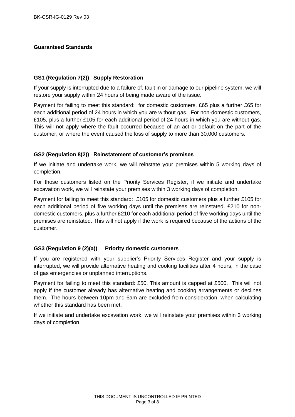#### **Guaranteed Standards**

#### **GS1 (Regulation 7(2)) Supply Restoration**

If your supply is interrupted due to a failure of, fault in or damage to our pipeline system, we will restore your supply within 24 hours of being made aware of the issue.

Payment for failing to meet this standard: for domestic customers, £65 plus a further £65 for each additional period of 24 hours in which you are without gas. For non-domestic customers, £105, plus a further £105 for each additional period of 24 hours in which you are without gas. This will not apply where the fault occurred because of an act or default on the part of the customer, or where the event caused the loss of supply to more than 30,000 customers.

#### **GS2 (Regulation 8(2)) Reinstatement of customer's premises**

If we initiate and undertake work, we will reinstate your premises within 5 working days of completion.

For those customers listed on the Priority Services Register, if we initiate and undertake excavation work, we will reinstate your premises within 3 working days of completion.

Payment for failing to meet this standard: £105 for domestic customers plus a further £105 for each additional period of five working days until the premises are reinstated. £210 for nondomestic customers, plus a further £210 for each additional period of five working days until the premises are reinstated. This will not apply if the work is required because of the actions of the customer.

#### **GS3 (Regulation 9 (2)(a)) Priority domestic customers**

If you are registered with your supplier's Priority Services Register and your supply is interrupted, we will provide alternative heating and cooking facilities after 4 hours, in the case of gas emergencies or unplanned interruptions.

Payment for failing to meet this standard: £50. This amount is capped at £500. This will not apply if the customer already has alternative heating and cooking arrangements or declines them. The hours between 10pm and 6am are excluded from consideration, when calculating whether this standard has been met.

If we initiate and undertake excavation work, we will reinstate your premises within 3 working days of completion.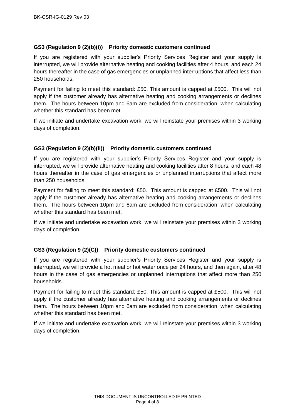#### **GS3 (Regulation 9 (2)(b)(i)) Priority domestic customers continued**

If you are registered with your supplier's Priority Services Register and your supply is interrupted, we will provide alternative heating and cooking facilities after 4 hours, and each 24 hours thereafter in the case of gas emergencies or unplanned interruptions that affect less than 250 households.

Payment for failing to meet this standard: £50. This amount is capped at £500. This will not apply if the customer already has alternative heating and cooking arrangements or declines them. The hours between 10pm and 6am are excluded from consideration, when calculating whether this standard has been met.

If we initiate and undertake excavation work, we will reinstate your premises within 3 working days of completion.

#### **GS3 (Regulation 9 (2)(b)(ii)) Priority domestic customers continued**

If you are registered with your supplier's Priority Services Register and your supply is interrupted, we will provide alternative heating and cooking facilities after 8 hours, and each 48 hours thereafter in the case of gas emergencies or unplanned interruptions that affect more than 250 households.

Payment for failing to meet this standard: £50. This amount is capped at £500. This will not apply if the customer already has alternative heating and cooking arrangements or declines them. The hours between 10pm and 6am are excluded from consideration, when calculating whether this standard has been met.

If we initiate and undertake excavation work, we will reinstate your premises within 3 working days of completion.

#### **GS3 (Regulation 9 (2)(C)) Priority domestic customers continued**

If you are registered with your supplier's Priority Services Register and your supply is interrupted, we will provide a hot meal or hot water once per 24 hours, and then again, after 48 hours in the case of gas emergencies or unplanned interruptions that affect more than 250 households.

Payment for failing to meet this standard: £50. This amount is capped at £500. This will not apply if the customer already has alternative heating and cooking arrangements or declines them. The hours between 10pm and 6am are excluded from consideration, when calculating whether this standard has been met.

If we initiate and undertake excavation work, we will reinstate your premises within 3 working days of completion.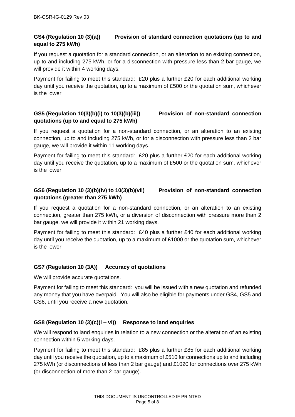#### **GS4 (Regulation 10 (3)(a)) Provision of standard connection quotations (up to and equal to 275 kWh)**

If you request a quotation for a standard connection, or an alteration to an existing connection, up to and including 275 kWh, or for a disconnection with pressure less than 2 bar gauge, we will provide it within 4 working days.

Payment for failing to meet this standard: £20 plus a further £20 for each additional working day until you receive the quotation, up to a maximum of £500 or the quotation sum, whichever is the lower.

#### **GS5 (Regulation 10(3)(b)(i) to 10(3)(b)(iii)) Provision of non-standard connection quotations (up to and equal to 275 kWh)**

If you request a quotation for a non-standard connection, or an alteration to an existing connection, up to and including 275 kWh, or for a disconnection with pressure less than 2 bar gauge, we will provide it within 11 working days.

Payment for failing to meet this standard: £20 plus a further £20 for each additional working day until you receive the quotation, up to a maximum of £500 or the quotation sum, whichever is the lower.

#### **GS6 (Regulation 10 (3)(b)(iv) to 10(3)(b)(vii) Provision of non-standard connection quotations (greater than 275 kWh)**

If you request a quotation for a non-standard connection, or an alteration to an existing connection, greater than 275 kWh, or a diversion of disconnection with pressure more than 2 bar gauge, we will provide it within 21 working days.

Payment for failing to meet this standard: £40 plus a further £40 for each additional working day until you receive the quotation, up to a maximum of £1000 or the quotation sum, whichever is the lower.

#### **GS7 (Regulation 10 (3A)) Accuracy of quotations**

We will provide accurate quotations.

Payment for failing to meet this standard: you will be issued with a new quotation and refunded any money that you have overpaid. You will also be eligible for payments under GS4, GS5 and GS6, until you receive a new quotation.

### **GS8 (Regulation 10 (3)(c)(i – vi)) Response to land enquiries**

We will respond to land enquiries in relation to a new connection or the alteration of an existing connection within 5 working days.

Payment for failing to meet this standard: £85 plus a further £85 for each additional working day until you receive the quotation, up to a maximum of £510 for connections up to and including 275 kWh (or disconnections of less than 2 bar gauge) and £1020 for connections over 275 kWh (or disconnection of more than 2 bar gauge).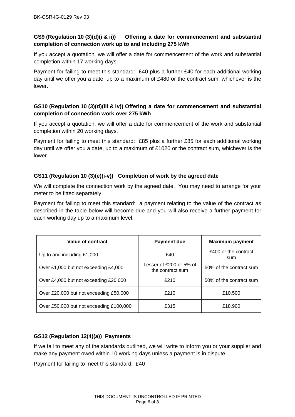#### **GS9 (Regulation 10 (3)(d)(i & ii)) Offering a date for commencement and substantial completion of connection work up to and including 275 kWh**

If you accept a quotation, we will offer a date for commencement of the work and substantial completion within 17 working days.

Payment for failing to meet this standard: £40 plus a further £40 for each additional working day until we offer you a date, up to a maximum of £480 or the contract sum, whichever is the lower.

#### **GS10 (Regulation 10 (3)(d)(iii & iv)) Offering a date for commencement and substantial completion of connection work over 275 kWh**

If you accept a quotation, we will offer a date for commencement of the work and substantial completion within 20 working days.

Payment for failing to meet this standard: £85 plus a further £85 for each additional working day until we offer you a date, up to a maximum of £1020 or the contract sum, whichever is the lower.

#### **GS11 (Regulation 10 (3)(e)(i-v)) Completion of work by the agreed date**

We will complete the connection work by the agreed date. You may need to arrange for your meter to be fitted separately.

Payment for failing to meet this standard: a payment relating to the value of the contract as described in the table below will become due and you will also receive a further payment for each working day up to a maximum level.

| Value of contract                       | <b>Payment due</b>                          | <b>Maximum payment</b>      |
|-----------------------------------------|---------------------------------------------|-----------------------------|
| Up to and including £1,000              | £40                                         | £400 or the contract<br>sum |
| Over £1,000 but not exceeding £4,000    | Lesser of £200 or 5% of<br>the contract sum | 50% of the contract sum     |
| Over £4,000 but not exceeding £20,000   | £210                                        | 50% of the contract sum     |
| Over £20,000 but not exceeding £50,000  | £210                                        | £10,500                     |
| Over £50,000 but not exceeding £100,000 | £315                                        | £18,900                     |

#### **GS12 (Regulation 12(4)(a)) Payments**

If we fail to meet any of the standards outlined, we will write to inform you or your supplier and make any payment owed within 10 working days unless a payment is in dispute.

Payment for failing to meet this standard: £40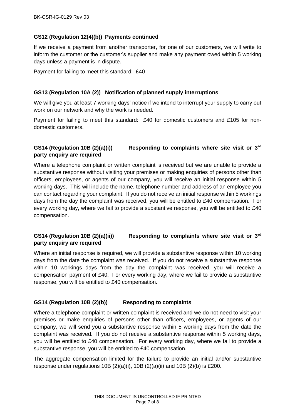#### **GS12 (Regulation 12(4)(b)) Payments continued**

If we receive a payment from another transporter, for one of our customers, we will write to inform the customer or the customer's supplier and make any payment owed within 5 working days unless a payment is in dispute.

Payment for failing to meet this standard: £40

#### **GS13 (Regulation 10A (2)) Notification of planned supply interruptions**

We will give you at least 7 working days' notice if we intend to interrupt your supply to carry out work on our network and why the work is needed.

Payment for failing to meet this standard: £40 for domestic customers and £105 for nondomestic customers.

#### **GS14 (Regulation 10B (2)(a)(i)) Responding to complaints where site visit or 3rd party enquiry are required**

Where a telephone complaint or written complaint is received but we are unable to provide a substantive response without visiting your premises or making enquiries of persons other than officers, employees, or agents of our company, you will receive an initial response within 5 working days. This will include the name, telephone number and address of an employee you can contact regarding your complaint. If you do not receive an initial response within 5 workings days from the day the complaint was received, you will be entitled to £40 compensation. For every working day, where we fail to provide a substantive response, you will be entitled to £40 compensation.

### **GS14 (Regulation 10B (2)(a)(ii)) Responding to complaints where site visit or 3rd party enquiry are required**

Where an initial response is required, we will provide a substantive response within 10 working days from the date the complaint was received. If you do not receive a substantive response within 10 workings days from the day the complaint was received, you will receive a compensation payment of £40. For every working day, where we fail to provide a substantive response, you will be entitled to £40 compensation.

#### **GS14 (Regulation 10B (2)(b)) Responding to complaints**

Where a telephone complaint or written complaint is received and we do not need to visit your premises or make enquiries of persons other than officers, employees, or agents of our company, we will send you a substantive response within 5 working days from the date the complaint was received. If you do not receive a substantive response within 5 working days, you will be entitled to £40 compensation. For every working day, where we fail to provide a substantive response, you will be entitled to £40 compensation.

The aggregate compensation limited for the failure to provide an initial and/or substantive response under regulations  $10B(2)(a)(i)$ ,  $10B(2)(a)(ii)$  and  $10B(2)(b)$  is £200.